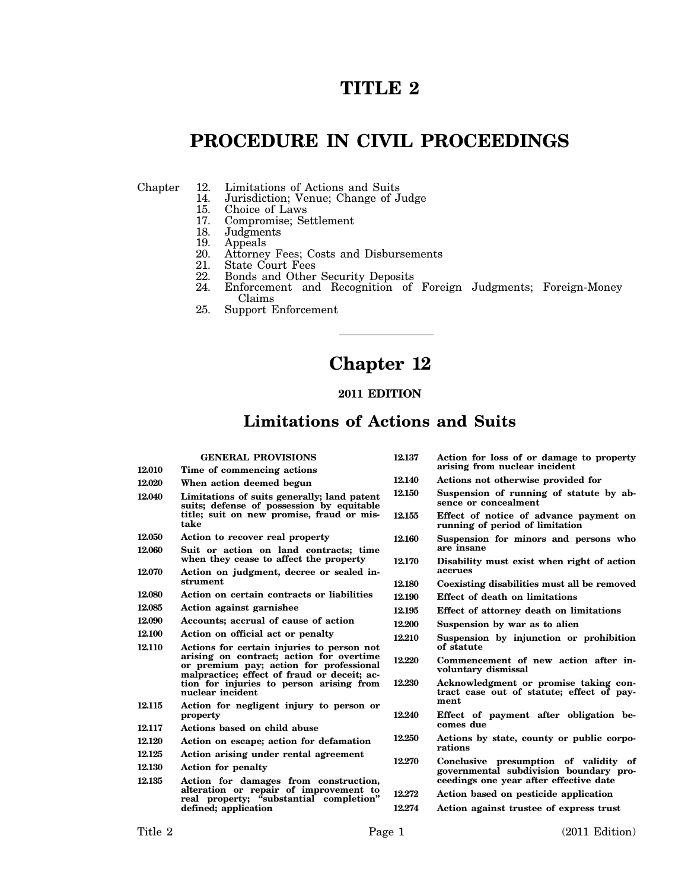# **TITLE 2**

# **PROCEDURE IN CIVIL PROCEEDINGS**

- Chapter 12. Limitations of Actions and Suits<br>14. Jurisdiction; Venue; Change of J
	- 14. Jurisdiction; Venue; Change of Judge
	- 15. Choice of Laws<br>17. Compromise: Se
	- 17. Compromise; Settlement
	- 18. Judgments<br>19. Appeals
	- 19. Appeals<br>20. Attorney
	- 20. Attorney Fees; Costs and Disbursements<br>21. State Court Fees
	- 21. State Court Fees<br>22. Bonds and Other
	- 22. Bonds and Other Security Deposits
	- Enforcement and Recognition of Foreign Judgments; Foreign-Money Claims
	- 25. Support Enforcement

## **Chapter 12**

#### **2011 EDITION**

### **Limitations of Actions and Suits**

|        | <b>GENERAL PROVISIONS</b>                                                                                                                                                        | 12.137           | Ac <sub>1</sub>        |
|--------|----------------------------------------------------------------------------------------------------------------------------------------------------------------------------------|------------------|------------------------|
| 12.010 | Time of commencing actions                                                                                                                                                       |                  | ari                    |
| 12.020 | When action deemed begun                                                                                                                                                         | 12.140           | Act                    |
| 12.040 | Limitations of suits generally; land patent<br>suits; defense of possession by equitable                                                                                         | 12.150           | Su<br>ser              |
|        | title; suit on new promise, fraud or mis-<br>take                                                                                                                                | 12.155           | Eff<br>rui             |
| 12.050 | Action to recover real property                                                                                                                                                  | 12.160           | Su                     |
| 12.060 | Suit or action on land contracts; time<br>when they cease to affect the property                                                                                                 | 12.170           | are<br>Dis             |
| 12.070 | Action on judgment, decree or sealed in-                                                                                                                                         |                  | aco                    |
|        | strument                                                                                                                                                                         | 12.180           | Co                     |
| 12.080 | Action on certain contracts or liabilities                                                                                                                                       | 12.190           | Eff                    |
| 12.085 | Action against garnishee                                                                                                                                                         | 12.195           | Eff                    |
| 12.090 | Accounts: accrual of cause of action                                                                                                                                             | 12.200           | Su                     |
| 12.100 | Action on official act or penalty                                                                                                                                                | 12.210           | Su                     |
| 12.110 | Actions for certain injuries to person not<br>arising on contract; action for overtime<br>or premium pay; action for professional<br>malpractice; effect of fraud or deceit; ac- | 12.220<br>12.230 | of<br>Co<br>vol<br>Acl |
|        | tion for injuries to person arising from<br>nuclear incident                                                                                                                     |                  | tra                    |
| 12.115 | Action for negligent injury to person or<br>property                                                                                                                             | 12.240           | me<br>Eff              |
| 12.117 | Actions based on child abuse                                                                                                                                                     |                  | col                    |
| 12.120 | Action on escape; action for defamation                                                                                                                                          | 12.250           | Act                    |
| 12.125 | Action arising under rental agreement                                                                                                                                            | 12.270           | rat<br>Co              |
| 12.130 | <b>Action for penalty</b>                                                                                                                                                        |                  | gov                    |
| 12.135 | Action for damages from construction,                                                                                                                                            |                  | cee                    |
|        | alteration or repair of improvement to<br>real property; "substantial completion"                                                                                                | 12.272           | Act                    |
|        | defined; application                                                                                                                                                             | 12.274           | Act                    |

- **12.137 Action for loss of or damage to property arising from nuclear incident**
- **12.140 Actions not otherwise provided for**
- spension of running of statute by ab**sence or concealment**
- **12.155 Effect of notice of advance payment on running of period of limitation**
- **12.160 Suspension for minors and persons who are insane**
- **12.170 Disability must exist when right of action accrues**
- **12.180 Coexisting disabilities must all be removed**
- **12.190 Effect of death on limitations**
- **12.195 Effect of attorney death on limitations**
- **12.200 Suspension by war as to alien**
- **12.210 Suspension by injunction or prohibition of statute**
- mmencement of new action after in**voluntary dismissal**
- **12.230 Acknowledgment or promise taking contract case out of statute; effect of payment**
	- fect of payment after obligation be**comes due**
	- **12.250 Actions by state, county or public corporations**
- **12.270 Conclusive presumption of validity of governmental subdivision boundary proceedings one year after effective date**

**12.272 Action based on pesticide application**

**12.274 Action against trustee of express trust**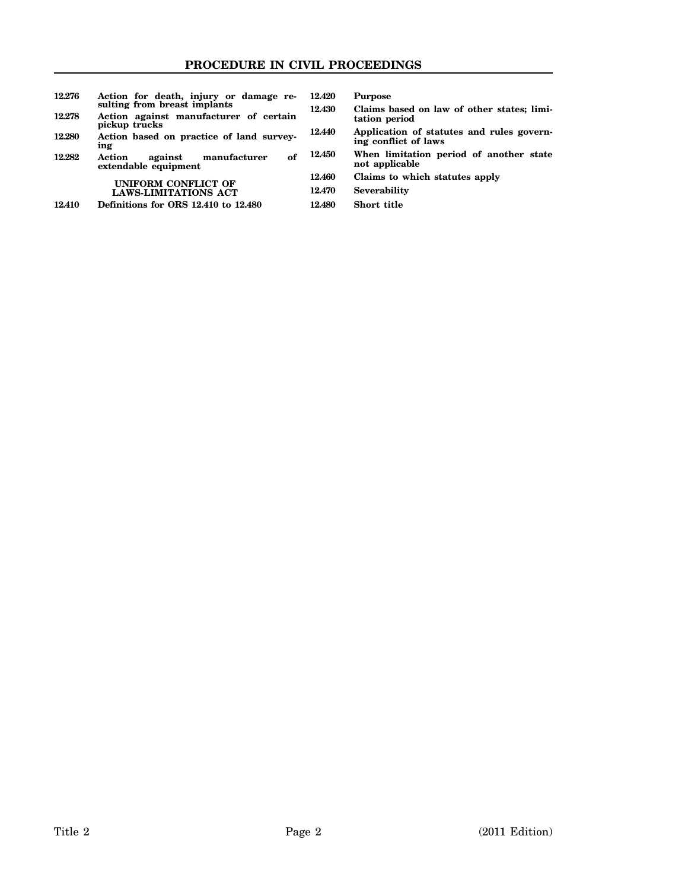| 12.276 | Action for death, injury or damage re-<br>sulting from breast implants | 12.420 |   |
|--------|------------------------------------------------------------------------|--------|---|
| 12.278 | Action against manufacturer of certain<br>pickup trucks                | 12.430 |   |
| 12.280 | Action based on practice of land survey-<br>ing                        | 12.440 | ŀ |
| 12.282 | manufacturer<br>Action<br>оf<br>against<br>extendable equipment        | 12.450 |   |
|        |                                                                        | 12.460 |   |
|        | UNIFORM CONFLICT OF<br><b>LAWS-LIMITATIONS ACT</b>                     | 12.470 |   |
| 12.410 | Definitions for ORS 12.410 to 12.480                                   | 12.480 |   |
|        |                                                                        |        |   |

**12.420 Purpose**

- **12.430 Claims based on law of other states; limitation period**
- **12.440 Application of statutes and rules governing conflict of laws**
	- **12.450 When limitation period of another state not applicable**
	- **12.460 Claims to which statutes apply**
	- **12.470 Severability**
	- **12.480 Short title**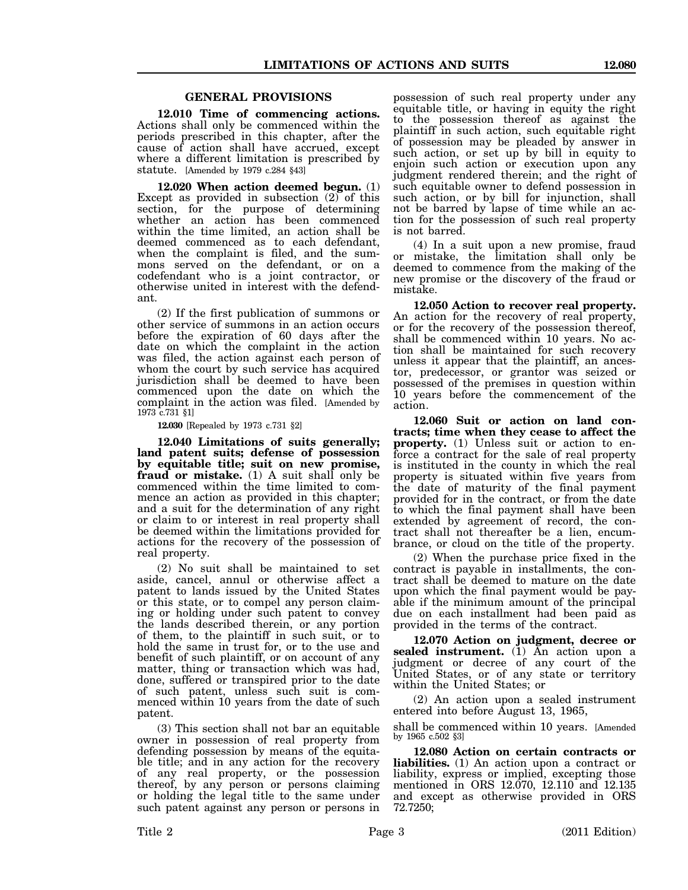#### **GENERAL PROVISIONS**

**12.010 Time of commencing actions.** Actions shall only be commenced within the periods prescribed in this chapter, after the cause of action shall have accrued, except where a different limitation is prescribed by statute. [Amended by 1979 c.284 §43]

**12.020 When action deemed begun.** (1) Except as provided in subsection (2) of this section, for the purpose of determining whether an action has been commenced within the time limited, an action shall be deemed commenced as to each defendant, when the complaint is filed, and the summons served on the defendant, or on a codefendant who is a joint contractor, or otherwise united in interest with the defendant.

(2) If the first publication of summons or other service of summons in an action occurs before the expiration of 60 days after the date on which the complaint in the action was filed, the action against each person of whom the court by such service has acquired jurisdiction shall be deemed to have been commenced upon the date on which the complaint in the action was filed. [Amended by 1973 c.731 §1]

**12.030** [Repealed by 1973 c.731 §2]

**12.040 Limitations of suits generally; land patent suits; defense of possession by equitable title; suit on new promise, fraud or mistake.** (1) A suit shall only be commenced within the time limited to commence an action as provided in this chapter; and a suit for the determination of any right or claim to or interest in real property shall be deemed within the limitations provided for actions for the recovery of the possession of real property.

(2) No suit shall be maintained to set aside, cancel, annul or otherwise affect a patent to lands issued by the United States or this state, or to compel any person claiming or holding under such patent to convey the lands described therein, or any portion of them, to the plaintiff in such suit, or to hold the same in trust for, or to the use and benefit of such plaintiff, or on account of any matter, thing or transaction which was had, done, suffered or transpired prior to the date of such patent, unless such suit is commenced within 10 years from the date of such patent.

(3) This section shall not bar an equitable owner in possession of real property from defending possession by means of the equitable title; and in any action for the recovery of any real property, or the possession thereof, by any person or persons claiming or holding the legal title to the same under such patent against any person or persons in

possession of such real property under any equitable title, or having in equity the right to the possession thereof as against the plaintiff in such action, such equitable right of possession may be pleaded by answer in such action, or set up by bill in equity to enjoin such action or execution upon any judgment rendered therein; and the right of such equitable owner to defend possession in such action, or by bill for injunction, shall not be barred by lapse of time while an action for the possession of such real property is not barred.

(4) In a suit upon a new promise, fraud or mistake, the limitation shall only be deemed to commence from the making of the new promise or the discovery of the fraud or mistake.

**12.050 Action to recover real property.** An action for the recovery of real property, or for the recovery of the possession thereof, shall be commenced within 10 years. No action shall be maintained for such recovery unless it appear that the plaintiff, an ancestor, predecessor, or grantor was seized or possessed of the premises in question within 10 years before the commencement of the action.

**12.060 Suit or action on land contracts; time when they cease to affect the property.** (1) Unless suit or action to enforce a contract for the sale of real property is instituted in the county in which the real property is situated within five years from the date of maturity of the final payment provided for in the contract, or from the date to which the final payment shall have been extended by agreement of record, the contract shall not thereafter be a lien, encumbrance, or cloud on the title of the property.

(2) When the purchase price fixed in the contract is payable in installments, the contract shall be deemed to mature on the date upon which the final payment would be payable if the minimum amount of the principal due on each installment had been paid as provided in the terms of the contract.

**12.070 Action on judgment, decree or sealed instrument.** (1) An action upon a judgment or decree of any court of the United States, or of any state or territory within the United States; or

(2) An action upon a sealed instrument entered into before August 13, 1965,

shall be commenced within 10 years. [Amended by 1965 c.502 §3]

**12.080 Action on certain contracts or liabilities.** (1) An action upon a contract or liability, express or implied, excepting those mentioned in ORS 12.070, 12.110 and 12.135 and except as otherwise provided in ORS 72.7250;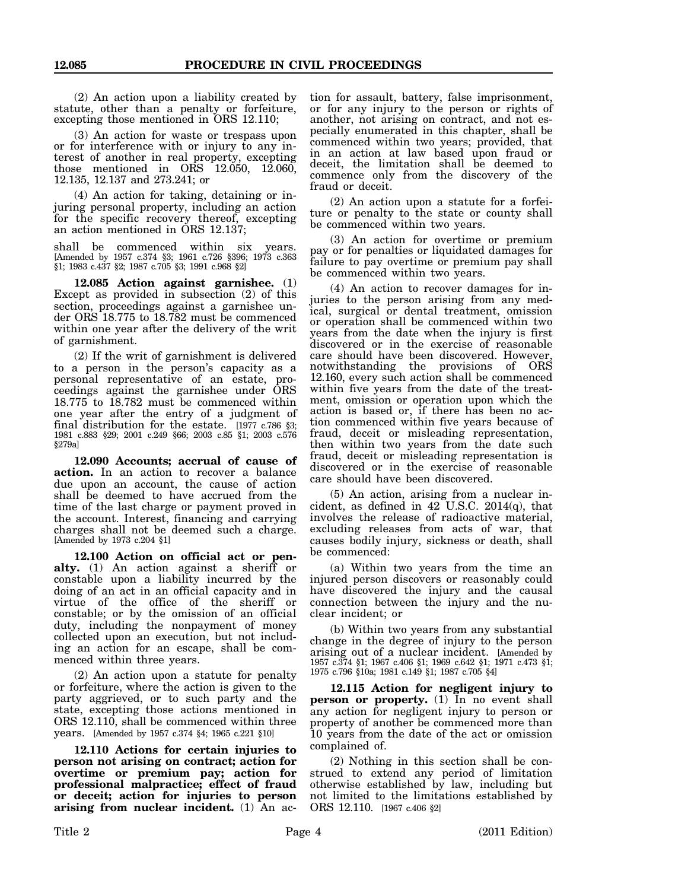(2) An action upon a liability created by statute, other than a penalty or forfeiture, excepting those mentioned in ORS 12.110;

(3) An action for waste or trespass upon or for interference with or injury to any interest of another in real property, excepting those mentioned in ORS 12.050, 12.060, 12.135, 12.137 and 273.241; or

(4) An action for taking, detaining or injuring personal property, including an action for the specific recovery thereof, excepting an action mentioned in ORS 12.137;

shall be commenced within six years. [Amended by 1957 c.374 §3; 1961 c.726 §396; 1973 c.363 §1; 1983 c.437 §2; 1987 c.705 §3; 1991 c.968 §2]

**12.085 Action against garnishee.** (1) Except as provided in subsection (2) of this section, proceedings against a garnishee under ORS 18.775 to 18.782 must be commenced within one year after the delivery of the writ of garnishment.

(2) If the writ of garnishment is delivered to a person in the person's capacity as a personal representative of an estate, proceedings against the garnishee under ORS 18.775 to 18.782 must be commenced within one year after the entry of a judgment of final distribution for the estate. [1977 c.786 §3; 1981 c.883 §29; 2001 c.249 §66; 2003 c.85 §1; 2003 c.576 §279a]

**12.090 Accounts; accrual of cause of action.** In an action to recover a balance due upon an account, the cause of action shall be deemed to have accrued from the time of the last charge or payment proved in the account. Interest, financing and carrying charges shall not be deemed such a charge. [Amended by 1973 c.204 §1]

**12.100 Action on official act or penalty.** (1) An action against a sheriff or constable upon a liability incurred by the doing of an act in an official capacity and in virtue of the office of the sheriff or constable; or by the omission of an official duty, including the nonpayment of money collected upon an execution, but not including an action for an escape, shall be commenced within three years.

(2) An action upon a statute for penalty or forfeiture, where the action is given to the party aggrieved, or to such party and the state, excepting those actions mentioned in ORS 12.110, shall be commenced within three years. [Amended by 1957 c.374 §4; 1965 c.221 §10]

**12.110 Actions for certain injuries to person not arising on contract; action for overtime or premium pay; action for professional malpractice; effect of fraud or deceit; action for injuries to person arising from nuclear incident.** (1) An action for assault, battery, false imprisonment, or for any injury to the person or rights of another, not arising on contract, and not especially enumerated in this chapter, shall be commenced within two years; provided, that in an action at law based upon fraud or deceit, the limitation shall be deemed to commence only from the discovery of the fraud or deceit.

(2) An action upon a statute for a forfeiture or penalty to the state or county shall be commenced within two years.

(3) An action for overtime or premium pay or for penalties or liquidated damages for failure to pay overtime or premium pay shall be commenced within two years.

(4) An action to recover damages for injuries to the person arising from any medical, surgical or dental treatment, omission or operation shall be commenced within two years from the date when the injury is first discovered or in the exercise of reasonable care should have been discovered. However, notwithstanding the provisions of ORS 12.160, every such action shall be commenced within five years from the date of the treatment, omission or operation upon which the action is based or, if there has been no action commenced within five years because of fraud, deceit or misleading representation, then within two years from the date such fraud, deceit or misleading representation is discovered or in the exercise of reasonable care should have been discovered.

(5) An action, arising from a nuclear incident, as defined in 42 U.S.C. 2014(q), that involves the release of radioactive material, excluding releases from acts of war, that causes bodily injury, sickness or death, shall be commenced:

(a) Within two years from the time an injured person discovers or reasonably could have discovered the injury and the causal connection between the injury and the nuclear incident; or

(b) Within two years from any substantial change in the degree of injury to the person arising out of a nuclear incident. [Amended by 1957 c.374 §1; 1967 c.406 §1; 1969 c.642 §1; 1971 c.473 §1; 1975 c.796 §10a; 1981 c.149 §1; 1987 c.705 §4]

**12.115 Action for negligent injury to** person or property. (1) In no event shall any action for negligent injury to person or property of another be commenced more than 10 years from the date of the act or omission complained of.

(2) Nothing in this section shall be construed to extend any period of limitation otherwise established by law, including but not limited to the limitations established by ORS 12.110. [1967 c.406 §2]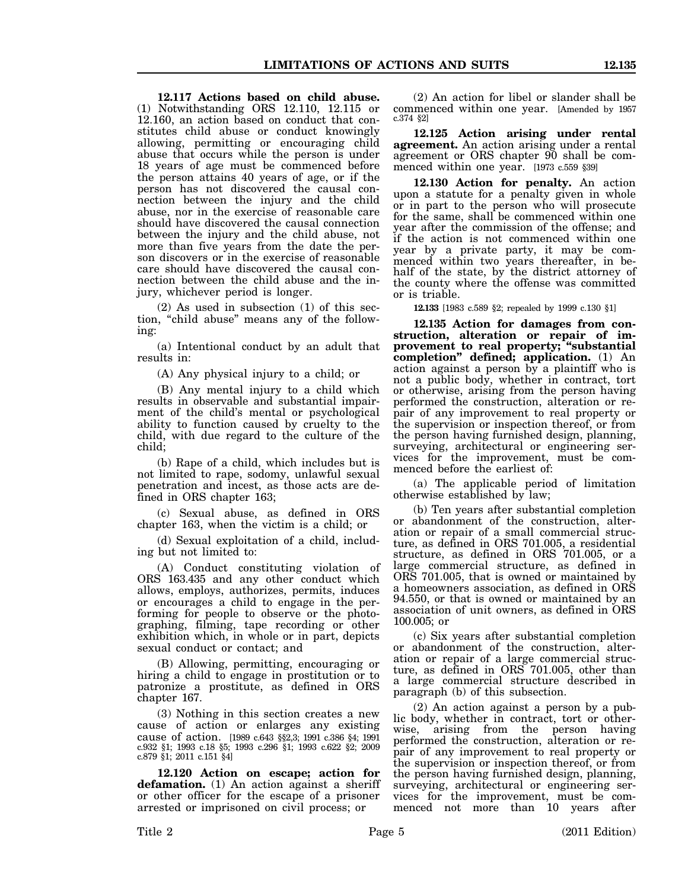**12.117 Actions based on child abuse.** (1) Notwithstanding ORS 12.110, 12.115 or 12.160, an action based on conduct that constitutes child abuse or conduct knowingly allowing, permitting or encouraging child abuse that occurs while the person is under 18 years of age must be commenced before the person attains 40 years of age, or if the person has not discovered the causal connection between the injury and the child abuse, nor in the exercise of reasonable care should have discovered the causal connection between the injury and the child abuse, not more than five years from the date the person discovers or in the exercise of reasonable care should have discovered the causal connection between the child abuse and the injury, whichever period is longer.

(2) As used in subsection (1) of this section, "child abuse" means any of the following:

(a) Intentional conduct by an adult that results in:

(A) Any physical injury to a child; or

(B) Any mental injury to a child which results in observable and substantial impairment of the child's mental or psychological ability to function caused by cruelty to the child, with due regard to the culture of the child;

(b) Rape of a child, which includes but is not limited to rape, sodomy, unlawful sexual penetration and incest, as those acts are defined in ORS chapter 163;

(c) Sexual abuse, as defined in ORS chapter 163, when the victim is a child; or

(d) Sexual exploitation of a child, including but not limited to:

(A) Conduct constituting violation of ORS 163.435 and any other conduct which allows, employs, authorizes, permits, induces or encourages a child to engage in the performing for people to observe or the photographing, filming, tape recording or other exhibition which, in whole or in part, depicts sexual conduct or contact; and

(B) Allowing, permitting, encouraging or hiring a child to engage in prostitution or to patronize a prostitute, as defined in ORS chapter 167.

(3) Nothing in this section creates a new cause of action or enlarges any existing cause of action. [1989 c.643 §§2,3; 1991 c.386 §4; 1991 c.932 §1; 1993 c.18 §5; 1993 c.296 §1; 1993 c.622 §2; 2009 c.879 §1; 2011 c.151 §4]

**12.120 Action on escape; action for defamation.** (1) An action against a sheriff or other officer for the escape of a prisoner arrested or imprisoned on civil process; or

(2) An action for libel or slander shall be commenced within one year. [Amended by 1957 c.374 §2]

**12.125 Action arising under rental agreement.** An action arising under a rental agreement or ORS chapter 90 shall be commenced within one year. [1973 c.559 §39]

**12.130 Action for penalty.** An action upon a statute for a penalty given in whole or in part to the person who will prosecute for the same, shall be commenced within one year after the commission of the offense; and if the action is not commenced within one year by a private party, it may be commenced within two years thereafter, in behalf of the state, by the district attorney of the county where the offense was committed or is triable.

**12.133** [1983 c.589 §2; repealed by 1999 c.130 §1]

**12.135 Action for damages from construction, alteration or repair of improvement to real property; "substantial completion" defined; application.** (1) An action against a person by a plaintiff who is not a public body, whether in contract, tort or otherwise, arising from the person having performed the construction, alteration or repair of any improvement to real property or the supervision or inspection thereof, or from the person having furnished design, planning, surveying, architectural or engineering services for the improvement, must be commenced before the earliest of:

(a) The applicable period of limitation otherwise established by law;

(b) Ten years after substantial completion or abandonment of the construction, alteration or repair of a small commercial structure, as defined in ORS 701.005, a residential structure, as defined in ORS 701.005, or a large commercial structure, as defined in ORS 701.005, that is owned or maintained by a homeowners association, as defined in ORS 94.550, or that is owned or maintained by an association of unit owners, as defined in ORS 100.005; or

(c) Six years after substantial completion or abandonment of the construction, alteration or repair of a large commercial structure, as defined in ORS 701.005, other than a large commercial structure described in paragraph (b) of this subsection.

(2) An action against a person by a public body, whether in contract, tort or otherwise, arising from the person having performed the construction, alteration or repair of any improvement to real property or the supervision or inspection thereof, or from the person having furnished design, planning, surveying, architectural or engineering services for the improvement, must be commenced not more than 10 years after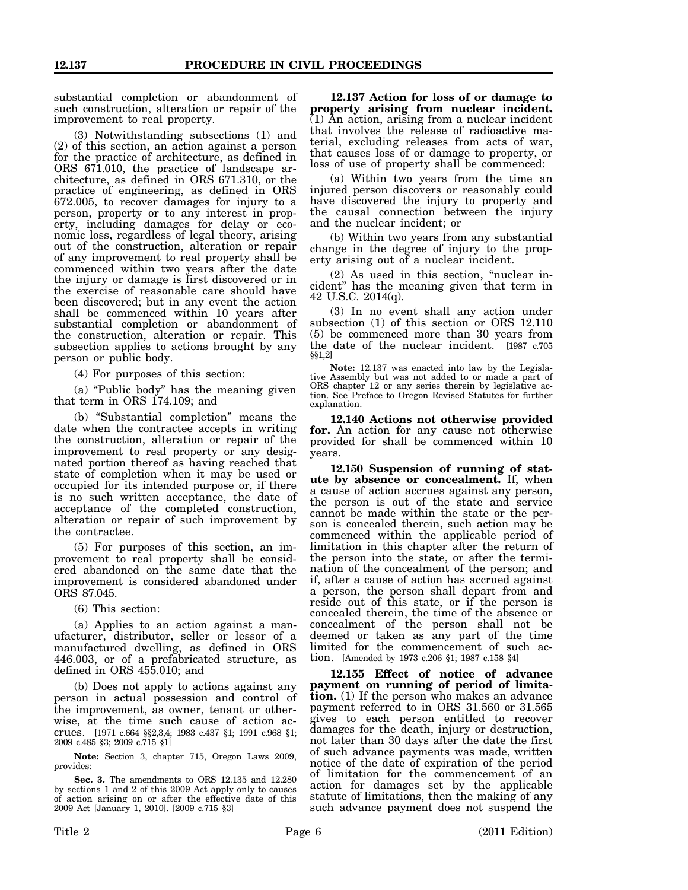substantial completion or abandonment of such construction, alteration or repair of the improvement to real property.

(3) Notwithstanding subsections (1) and (2) of this section, an action against a person for the practice of architecture, as defined in ORS 671.010, the practice of landscape architecture, as defined in ORS 671.310, or the practice of engineering, as defined in ORS 672.005, to recover damages for injury to a person, property or to any interest in property, including damages for delay or economic loss, regardless of legal theory, arising out of the construction, alteration or repair of any improvement to real property shall be commenced within two years after the date the injury or damage is first discovered or in the exercise of reasonable care should have been discovered; but in any event the action shall be commenced within 10 years after substantial completion or abandonment of the construction, alteration or repair. This subsection applies to actions brought by any person or public body.

(4) For purposes of this section:

(a) "Public body" has the meaning given that term in ORS 174.109; and

(b) "Substantial completion" means the date when the contractee accepts in writing the construction, alteration or repair of the improvement to real property or any designated portion thereof as having reached that state of completion when it may be used or occupied for its intended purpose or, if there is no such written acceptance, the date of acceptance of the completed construction, alteration or repair of such improvement by the contractee.

(5) For purposes of this section, an improvement to real property shall be considered abandoned on the same date that the improvement is considered abandoned under ORS 87.045.

(6) This section:

(a) Applies to an action against a manufacturer, distributor, seller or lessor of a manufactured dwelling, as defined in ORS 446.003, or of a prefabricated structure, as defined in ORS 455.010; and

(b) Does not apply to actions against any person in actual possession and control of the improvement, as owner, tenant or otherwise, at the time such cause of action accrues. [1971 c.664 §§2,3,4; 1983 c.437 §1; 1991 c.968 §1; 2009 c.485 §3; 2009 c.715 §1]

**Note:** Section 3, chapter 715, Oregon Laws 2009, provides:

**Sec. 3.** The amendments to ORS 12.135 and 12.280 by sections 1 and 2 of this 2009 Act apply only to causes of action arising on or after the effective date of this 2009 Act [January 1, 2010]. [2009 c.715 §3]

**12.137 Action for loss of or damage to property arising from nuclear incident.** (1) An action, arising from a nuclear incident that involves the release of radioactive material, excluding releases from acts of war, that causes loss of or damage to property, or loss of use of property shall be commenced:

(a) Within two years from the time an injured person discovers or reasonably could have discovered the injury to property and the causal connection between the injury and the nuclear incident; or

(b) Within two years from any substantial change in the degree of injury to the property arising out of a nuclear incident.

(2) As used in this section, "nuclear incident" has the meaning given that term in 42 U.S.C. 2014(q).

(3) In no event shall any action under subsection (1) of this section or ORS 12.110 (5) be commenced more than 30 years from the date of the nuclear incident. [1987 c.705 §§1,2]

**Note:** 12.137 was enacted into law by the Legislative Assembly but was not added to or made a part of ORS chapter 12 or any series therein by legislative action. See Preface to Oregon Revised Statutes for further explanation.

**12.140 Actions not otherwise provided for.** An action for any cause not otherwise provided for shall be commenced within 10 years.

**12.150 Suspension of running of statute by absence or concealment.** If, when a cause of action accrues against any person, the person is out of the state and service cannot be made within the state or the person is concealed therein, such action may be commenced within the applicable period of limitation in this chapter after the return of the person into the state, or after the termination of the concealment of the person; and if, after a cause of action has accrued against a person, the person shall depart from and reside out of this state, or if the person is concealed therein, the time of the absence or concealment of the person shall not be deemed or taken as any part of the time limited for the commencement of such action. [Amended by 1973 c.206 §1; 1987 c.158 §4]

**12.155 Effect of notice of advance payment on running of period of limitation.** (1) If the person who makes an advance payment referred to in ORS 31.560 or 31.565 gives to each person entitled to recover damages for the death, injury or destruction, not later than 30 days after the date the first of such advance payments was made, written notice of the date of expiration of the period of limitation for the commencement of an action for damages set by the applicable statute of limitations, then the making of any such advance payment does not suspend the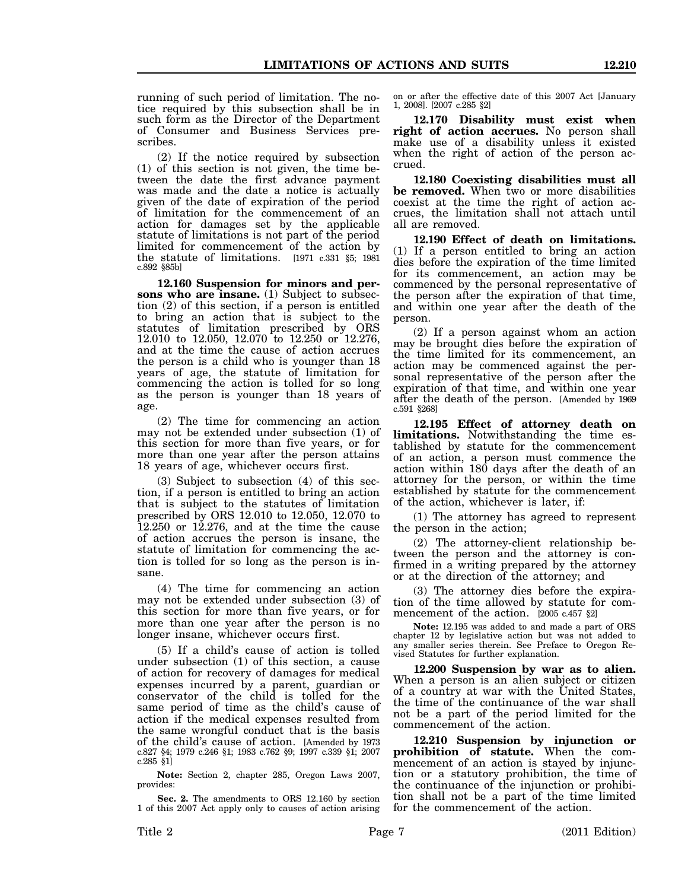running of such period of limitation. The notice required by this subsection shall be in such form as the Director of the Department of Consumer and Business Services prescribes.

(2) If the notice required by subsection (1) of this section is not given, the time between the date the first advance payment was made and the date a notice is actually given of the date of expiration of the period of limitation for the commencement of an action for damages set by the applicable statute of limitations is not part of the period limited for commencement of the action by the statute of limitations. [1971 c.331 §5; 1981 c.892 §85b]

**12.160 Suspension for minors and persons who are insane.** (1) Subject to subsection (2) of this section, if a person is entitled to bring an action that is subject to the statutes of limitation prescribed by ORS 12.010 to 12.050, 12.070 to 12.250 or 12.276, and at the time the cause of action accrues the person is a child who is younger than 18 years of age, the statute of limitation for commencing the action is tolled for so long as the person is younger than 18 years of age.

(2) The time for commencing an action may not be extended under subsection (1) of this section for more than five years, or for more than one year after the person attains 18 years of age, whichever occurs first.

(3) Subject to subsection (4) of this section, if a person is entitled to bring an action that is subject to the statutes of limitation prescribed by ORS 12.010 to 12.050, 12.070 to 12.250 or 12.276, and at the time the cause of action accrues the person is insane, the statute of limitation for commencing the action is tolled for so long as the person is insane.

(4) The time for commencing an action may not be extended under subsection (3) of this section for more than five years, or for more than one year after the person is no longer insane, whichever occurs first.

(5) If a child's cause of action is tolled under subsection (1) of this section, a cause of action for recovery of damages for medical expenses incurred by a parent, guardian or conservator of the child is tolled for the same period of time as the child's cause of action if the medical expenses resulted from the same wrongful conduct that is the basis of the child's cause of action. [Amended by 1973 c.827 §4; 1979 c.246 §1; 1983 c.762 §9; 1997 c.339 §1; 2007 c.285 §1]

**Note:** Section 2, chapter 285, Oregon Laws 2007, provides:

**Sec. 2.** The amendments to ORS 12.160 by section 1 of this 2007 Act apply only to causes of action arising on or after the effective date of this 2007 Act [January 1, 2008]. [2007 c.285 §2]

**12.170 Disability must exist when right of action accrues.** No person shall make use of a disability unless it existed when the right of action of the person accrued.

**12.180 Coexisting disabilities must all** be removed. When two or more disabilities coexist at the time the right of action accrues, the limitation shall not attach until all are removed.

**12.190 Effect of death on limitations.** (1) If a person entitled to bring an action dies before the expiration of the time limited for its commencement, an action may be commenced by the personal representative of the person after the expiration of that time, and within one year after the death of the person.

(2) If a person against whom an action may be brought dies before the expiration of the time limited for its commencement, an action may be commenced against the personal representative of the person after the expiration of that time, and within one year after the death of the person. [Amended by 1969 c.591 §268]

**12.195 Effect of attorney death on limitations.** Notwithstanding the time established by statute for the commencement of an action, a person must commence the action within 180 days after the death of an attorney for the person, or within the time established by statute for the commencement of the action, whichever is later, if:

(1) The attorney has agreed to represent the person in the action;

(2) The attorney-client relationship between the person and the attorney is confirmed in a writing prepared by the attorney or at the direction of the attorney; and

(3) The attorney dies before the expiration of the time allowed by statute for commencement of the action. [2005 c.457 §2]

**Note:** 12.195 was added to and made a part of ORS chapter 12 by legislative action but was not added to any smaller series therein. See Preface to Oregon Revised Statutes for further explanation.

**12.200 Suspension by war as to alien.** When a person is an alien subject or citizen of a country at war with the United States, the time of the continuance of the war shall not be a part of the period limited for the commencement of the action.

**12.210 Suspension by injunction or prohibition of statute.** When the commencement of an action is stayed by injunction or a statutory prohibition, the time of the continuance of the injunction or prohibition shall not be a part of the time limited for the commencement of the action.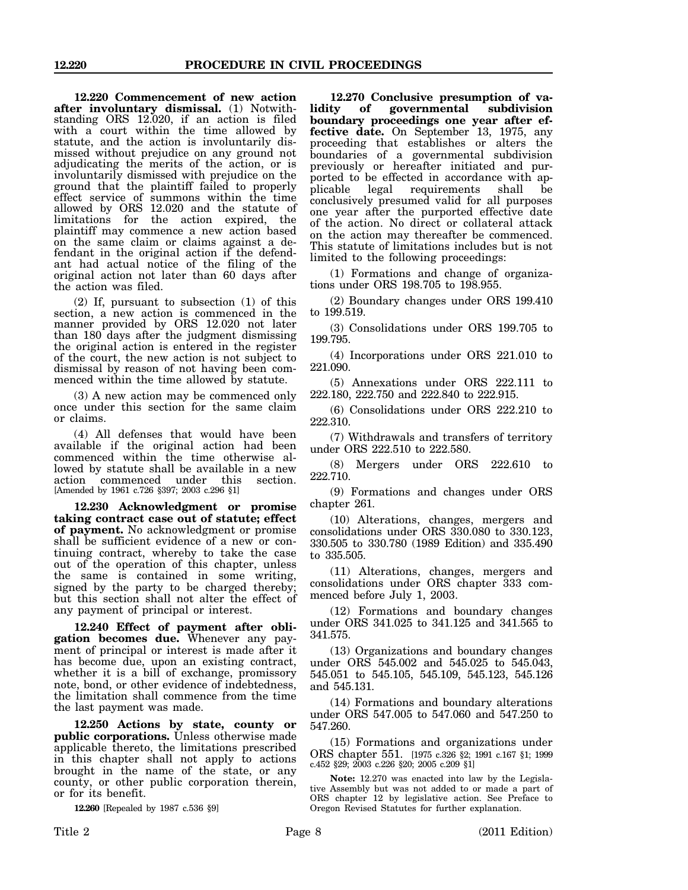**12.220 Commencement of new action after involuntary dismissal.** (1) Notwithstanding ORS 12.020, if an action is filed with a court within the time allowed by statute, and the action is involuntarily dismissed without prejudice on any ground not adjudicating the merits of the action, or is involuntarily dismissed with prejudice on the ground that the plaintiff failed to properly effect service of summons within the time allowed by ORS 12.020 and the statute of limitations for the action expired, the plaintiff may commence a new action based on the same claim or claims against a defendant in the original action if the defendant had actual notice of the filing of the original action not later than 60 days after the action was filed.

(2) If, pursuant to subsection (1) of this section, a new action is commenced in the manner provided by ORS 12.020 not later than 180 days after the judgment dismissing the original action is entered in the register of the court, the new action is not subject to dismissal by reason of not having been commenced within the time allowed by statute.

(3) A new action may be commenced only once under this section for the same claim or claims.

(4) All defenses that would have been available if the original action had been commenced within the time otherwise allowed by statute shall be available in a new action commenced under this [Amended by 1961 c.726 §397; 2003 c.296 §1]

**12.230 Acknowledgment or promise taking contract case out of statute; effect of payment.** No acknowledgment or promise shall be sufficient evidence of a new or continuing contract, whereby to take the case out of the operation of this chapter, unless the same is contained in some writing, signed by the party to be charged thereby; but this section shall not alter the effect of any payment of principal or interest.

**12.240 Effect of payment after obligation becomes due.** Whenever any payment of principal or interest is made after it has become due, upon an existing contract, whether it is a bill of exchange, promissory note, bond, or other evidence of indebtedness, the limitation shall commence from the time the last payment was made.

**12.250 Actions by state, county or public corporations.** Unless otherwise made applicable thereto, the limitations prescribed in this chapter shall not apply to actions brought in the name of the state, or any county, or other public corporation therein, or for its benefit.

**12.260** [Repealed by 1987 c.536 §9]

**12.270 Conclusive presumption of va**of governmental subdivision **boundary proceedings one year after effective date.** On September 13, 1975, any proceeding that establishes or alters the boundaries of a governmental subdivision previously or hereafter initiated and purported to be effected in accordance with applicable legal requirements shall be conclusively presumed valid for all purposes one year after the purported effective date of the action. No direct or collateral attack on the action may thereafter be commenced. This statute of limitations includes but is not limited to the following proceedings:

(1) Formations and change of organizations under ORS 198.705 to 198.955.

(2) Boundary changes under ORS 199.410 to 199.519.

(3) Consolidations under ORS 199.705 to 199.795.

(4) Incorporations under ORS 221.010 to 221.090.

(5) Annexations under ORS 222.111 to 222.180, 222.750 and 222.840 to 222.915.

(6) Consolidations under ORS 222.210 to 222.310.

(7) Withdrawals and transfers of territory under ORS 222.510 to 222.580.

(8) Mergers under ORS 222.610 to 222.710.

(9) Formations and changes under ORS chapter 261.

(10) Alterations, changes, mergers and consolidations under ORS 330.080 to 330.123, 330.505 to 330.780 (1989 Edition) and 335.490 to 335.505.

(11) Alterations, changes, mergers and consolidations under ORS chapter 333 commenced before July 1, 2003.

(12) Formations and boundary changes under ORS 341.025 to 341.125 and 341.565 to 341.575.

(13) Organizations and boundary changes under ORS 545.002 and 545.025 to 545.043, 545.051 to 545.105, 545.109, 545.123, 545.126 and 545.131.

(14) Formations and boundary alterations under ORS 547.005 to 547.060 and 547.250 to 547.260.

(15) Formations and organizations under ORS chapter 551. [1975 c.326 §2; 1991 c.167 §1; 1999 c.452 §29; 2003 c.226 §20; 2005 c.209 §1]

**Note:** 12.270 was enacted into law by the Legislative Assembly but was not added to or made a part of ORS chapter 12 by legislative action. See Preface to Oregon Revised Statutes for further explanation.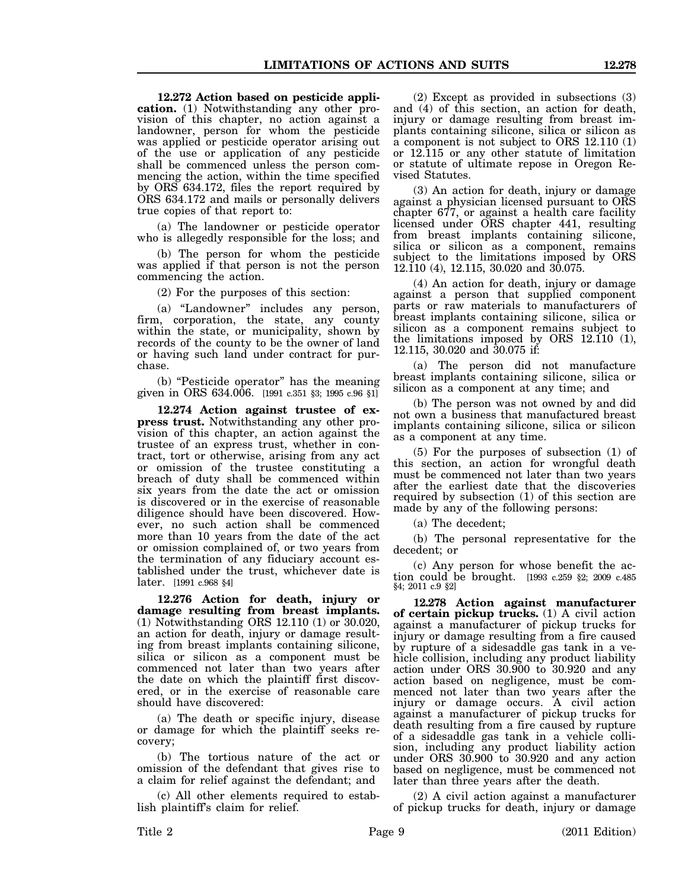**12.272 Action based on pesticide application.** (1) Notwithstanding any other provision of this chapter, no action against a landowner, person for whom the pesticide was applied or pesticide operator arising out of the use or application of any pesticide

shall be commenced unless the person commencing the action, within the time specified by ORS 634.172, files the report required by ORS 634.172 and mails or personally delivers true copies of that report to:

(a) The landowner or pesticide operator who is allegedly responsible for the loss; and

(b) The person for whom the pesticide was applied if that person is not the person commencing the action.

(2) For the purposes of this section:

(a) "Landowner" includes any person, firm, corporation, the state, any county within the state, or municipality, shown by records of the county to be the owner of land or having such land under contract for purchase.

(b) "Pesticide operator" has the meaning given in ORS 634.006. [1991 c.351 §3; 1995 c.96 §1]

**12.274 Action against trustee of express trust.** Notwithstanding any other provision of this chapter, an action against the trustee of an express trust, whether in contract, tort or otherwise, arising from any act or omission of the trustee constituting a breach of duty shall be commenced within six years from the date the act or omission is discovered or in the exercise of reasonable diligence should have been discovered. However, no such action shall be commenced more than 10 years from the date of the act or omission complained of, or two years from the termination of any fiduciary account established under the trust, whichever date is later. [1991 c.968 §4]

**12.276 Action for death, injury or damage resulting from breast implants.** (1) Notwithstanding ORS 12.110 (1) or 30.020, an action for death, injury or damage resulting from breast implants containing silicone, silica or silicon as a component must be commenced not later than two years after the date on which the plaintiff first discovered, or in the exercise of reasonable care should have discovered:

(a) The death or specific injury, disease or damage for which the plaintiff seeks recovery;

(b) The tortious nature of the act or omission of the defendant that gives rise to a claim for relief against the defendant; and

(c) All other elements required to establish plaintiff's claim for relief.

(2) Except as provided in subsections (3) and (4) of this section, an action for death, injury or damage resulting from breast implants containing silicone, silica or silicon as a component is not subject to ORS 12.110 (1) or 12.115 or any other statute of limitation or statute of ultimate repose in Oregon Revised Statutes.

(3) An action for death, injury or damage against a physician licensed pursuant to ORS chapter 677, or against a health care facility licensed under ORS chapter 441, resulting from breast implants containing silicone, silica or silicon as a component, remains subject to the limitations imposed by ORS 12.110 (4), 12.115, 30.020 and 30.075.

(4) An action for death, injury or damage against a person that supplied component parts or raw materials to manufacturers of breast implants containing silicone, silica or silicon as a component remains subject to the limitations imposed by ORS 12.110 (1), 12.115, 30.020 and 30.075 if:

(a) The person did not manufacture breast implants containing silicone, silica or silicon as a component at any time; and

(b) The person was not owned by and did not own a business that manufactured breast implants containing silicone, silica or silicon as a component at any time.

(5) For the purposes of subsection (1) of this section, an action for wrongful death must be commenced not later than two years after the earliest date that the discoveries required by subsection (1) of this section are made by any of the following persons:

(a) The decedent;

(b) The personal representative for the decedent; or

(c) Any person for whose benefit the action could be brought. [1993 c.259 §2; 2009 c.485 §4; 2011 c.9 §2]

**12.278 Action against manufacturer of certain pickup trucks.** (1) A civil action against a manufacturer of pickup trucks for injury or damage resulting from a fire caused by rupture of a sidesaddle gas tank in a vehicle collision, including any product liability action under ORS 30.900 to 30.920 and any action based on negligence, must be commenced not later than two years after the injury or damage occurs. A civil action against a manufacturer of pickup trucks for death resulting from a fire caused by rupture of a sidesaddle gas tank in a vehicle collision, including any product liability action under ORS 30.900 to 30.920 and any action based on negligence, must be commenced not later than three years after the death.

(2) A civil action against a manufacturer of pickup trucks for death, injury or damage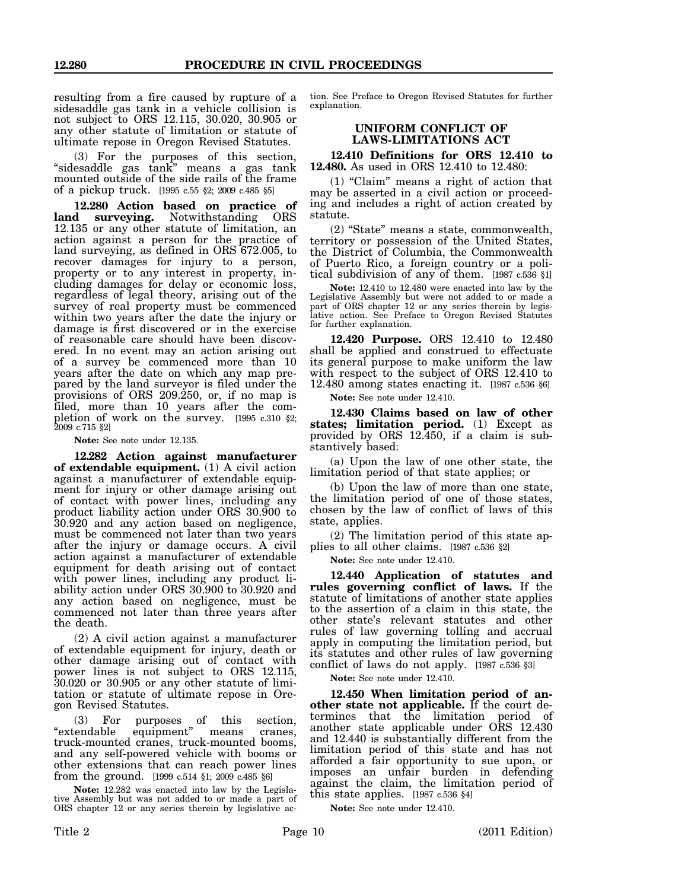resulting from a fire caused by rupture of a sidesaddle gas tank in a vehicle collision is not subject to ORS 12.115, 30.020, 30.905 or any other statute of limitation or statute of ultimate repose in Oregon Revised Statutes.

(3) For the purposes of this section, "sidesaddle gas tank" means a gas tank mounted outside of the side rails of the frame of a pickup truck. [1995 c.55 §2; 2009 c.485 §5]

**12.280 Action based on practice of** land surveying. Notwithstanding 12.135 or any other statute of limitation, an action against a person for the practice of land surveying, as defined in ORS 672.005, to recover damages for injury to a person, property or to any interest in property, including damages for delay or economic loss, regardless of legal theory, arising out of the survey of real property must be commenced within two years after the date the injury or damage is first discovered or in the exercise of reasonable care should have been discovered. In no event may an action arising out of a survey be commenced more than 10 years after the date on which any map prepared by the land surveyor is filed under the provisions of ORS 209.250, or, if no map is filed, more than 10 years after the completion of work on the survey. [1995 c.310 §2; 2009 c.715 §2]

**Note:** See note under 12.135.

**12.282 Action against manufacturer of extendable equipment.** (1) A civil action against a manufacturer of extendable equipment for injury or other damage arising out of contact with power lines, including any product liability action under ORS 30.900 to 30.920 and any action based on negligence, must be commenced not later than two years after the injury or damage occurs. A civil action against a manufacturer of extendable equipment for death arising out of contact with power lines, including any product liability action under ORS 30.900 to 30.920 and any action based on negligence, must be commenced not later than three years after the death.

(2) A civil action against a manufacturer of extendable equipment for injury, death or other damage arising out of contact with power lines is not subject to ORS 12.115, 30.020 or 30.905 or any other statute of limitation or statute of ultimate repose in Oregon Revised Statutes.

(3) For purposes of this section, "extendable equipment" means cranes, truck-mounted cranes, truck-mounted booms, and any self-powered vehicle with booms or other extensions that can reach power lines from the ground. [1999 c.514 §1; 2009 c.485 §6]

**Note:** 12.282 was enacted into law by the Legislative Assembly but was not added to or made a part of ORS chapter 12 or any series therein by legislative ac-

tion. See Preface to Oregon Revised Statutes for further explanation.

#### **UNIFORM CONFLICT OF LAWS-LIMITATIONS ACT**

**12.410 Definitions for ORS 12.410 to 12.480.** As used in ORS 12.410 to 12.480:

(1) "Claim" means a right of action that may be asserted in a civil action or proceeding and includes a right of action created by statute.

(2) "State" means a state, commonwealth, territory or possession of the United States, the District of Columbia, the Commonwealth of Puerto Rico, a foreign country or a political subdivision of any of them. [1987 c.536 §1]

**Note:** 12.410 to 12.480 were enacted into law by the Legislative Assembly but were not added to or made a part of ORS chapter 12 or any series therein by legislative action. See Preface to Oregon Revised Statutes for further explanation.

**12.420 Purpose.** ORS 12.410 to 12.480 shall be applied and construed to effectuate its general purpose to make uniform the law with respect to the subject of ORS 12.410 to 12.480 among states enacting it. [1987 c.536 §6]

**Note:** See note under 12.410.

**12.430 Claims based on law of other states; limitation period.** (1) Except as provided by ORS 12.450, if a claim is substantively based:

(a) Upon the law of one other state, the limitation period of that state applies; or

(b) Upon the law of more than one state, the limitation period of one of those states, chosen by the law of conflict of laws of this state, applies.

(2) The limitation period of this state applies to all other claims. [1987 c.536 §2]

**Note:** See note under 12.410.

**12.440 Application of statutes and rules governing conflict of laws.** If the statute of limitations of another state applies to the assertion of a claim in this state, the other state's relevant statutes and other rules of law governing tolling and accrual apply in computing the limitation period, but its statutes and other rules of law governing conflict of laws do not apply. [1987 c.536 §3]

**Note:** See note under 12.410.

**12.450 When limitation period of another state not applicable.** If the court determines that the limitation period of another state applicable under ORS 12.430 and 12.440 is substantially different from the limitation period of this state and has not afforded a fair opportunity to sue upon, or imposes an unfair burden in defending against the claim, the limitation period of this state applies. [1987 c.536 §4]

**Note:** See note under 12.410.